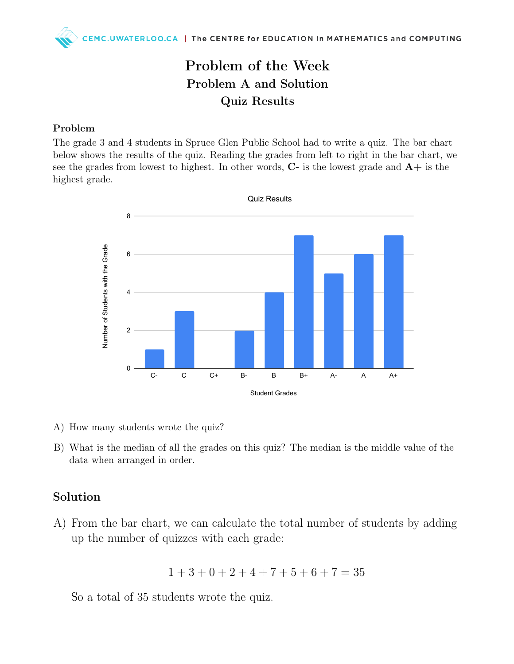## Problem of the Week Problem A and Solution Quiz Results

#### Problem

The grade 3 and 4 students in Spruce Glen Public School had to write a quiz. The bar chart below shows the results of the quiz. Reading the grades from left to right in the bar chart, we see the grades from lowest to highest. In other words,  $C$ - is the lowest grade and  $A+$  is the highest grade.



- A) How many students wrote the quiz?
- B) What is the median of all the grades on this quiz? The median is the middle value of the data when arranged in order.

#### Solution

A) From the bar chart, we can calculate the total number of students by adding up the number of quizzes with each grade:

$$
1 + 3 + 0 + 2 + 4 + 7 + 5 + 6 + 7 = 35
$$

So a total of 35 students wrote the quiz.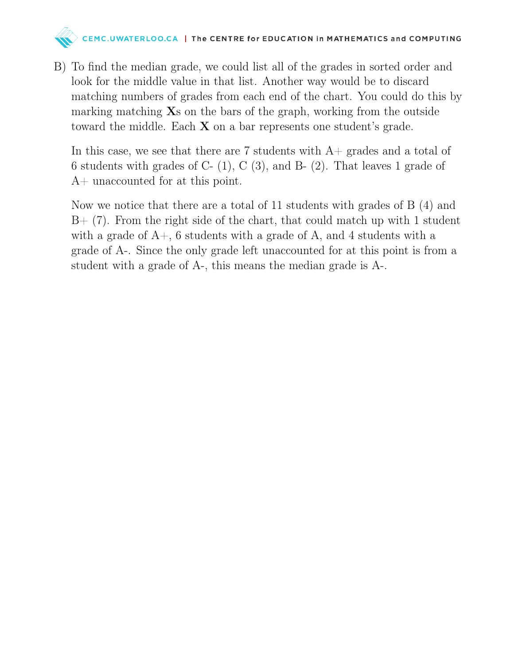# $\Diamond$  CEMC.UWATERLOO.CA | The CENTRE for EDUCATION in MATHEMATICS and COMPUTING

B) To find the median grade, we could list all of the grades in sorted order and look for the middle value in that list. Another way would be to discard matching numbers of grades from each end of the chart. You could do this by marking matching  $\mathbf{X}s$  on the bars of the graph, working from the outside toward the middle. Each  $X$  on a bar represents one student's grade.

In this case, we see that there are 7 students with  $A+$  grades and a total of 6 students with grades of C-  $(1)$ , C  $(3)$ , and B-  $(2)$ . That leaves 1 grade of A+ unaccounted for at this point.

Now we notice that there are a total of 11 students with grades of B (4) and  $B+$  (7). From the right side of the chart, that could match up with 1 student with a grade of  $A<sub>+</sub>$ , 6 students with a grade of A, and 4 students with a grade of A-. Since the only grade left unaccounted for at this point is from a student with a grade of A-, this means the median grade is A-.